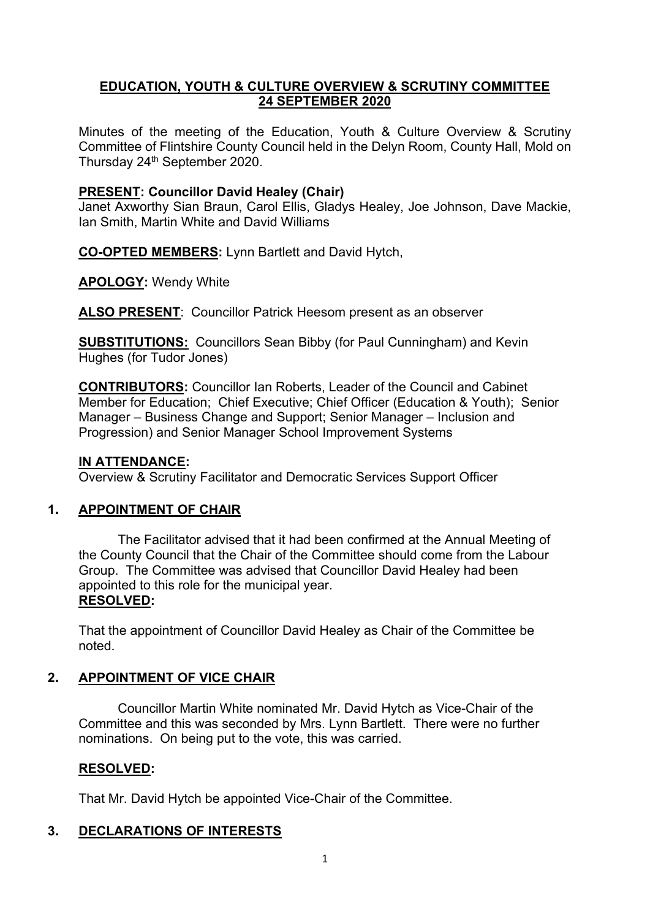#### **EDUCATION, YOUTH & CULTURE OVERVIEW & SCRUTINY COMMITTEE 24 SEPTEMBER 2020**

Minutes of the meeting of the Education, Youth & Culture Overview & Scrutiny Committee of Flintshire County Council held in the Delyn Room, County Hall, Mold on Thursday 24th September 2020.

#### **PRESENT: Councillor David Healey (Chair)**

Janet Axworthy Sian Braun, Carol Ellis, Gladys Healey, Joe Johnson, Dave Mackie, Ian Smith, Martin White and David Williams

**CO-OPTED MEMBERS:** Lynn Bartlett and David Hytch,

**APOLOGY:** Wendy White

**ALSO PRESENT**: Councillor Patrick Heesom present as an observer

**SUBSTITUTIONS:** Councillors Sean Bibby (for Paul Cunningham) and Kevin Hughes (for Tudor Jones)

**CONTRIBUTORS:** Councillor Ian Roberts, Leader of the Council and Cabinet Member for Education; Chief Executive; Chief Officer (Education & Youth); Senior Manager – Business Change and Support; Senior Manager – Inclusion and Progression) and Senior Manager School Improvement Systems

#### **IN ATTENDANCE:**

Overview & Scrutiny Facilitator and Democratic Services Support Officer

## **1. APPOINTMENT OF CHAIR**

The Facilitator advised that it had been confirmed at the Annual Meeting of the County Council that the Chair of the Committee should come from the Labour Group. The Committee was advised that Councillor David Healey had been appointed to this role for the municipal year. **RESOLVED:**

That the appointment of Councillor David Healey as Chair of the Committee be noted.

## **2. APPOINTMENT OF VICE CHAIR**

Councillor Martin White nominated Mr. David Hytch as Vice-Chair of the Committee and this was seconded by Mrs. Lynn Bartlett. There were no further nominations. On being put to the vote, this was carried.

## **RESOLVED:**

That Mr. David Hytch be appointed Vice-Chair of the Committee.

## **3. DECLARATIONS OF INTERESTS**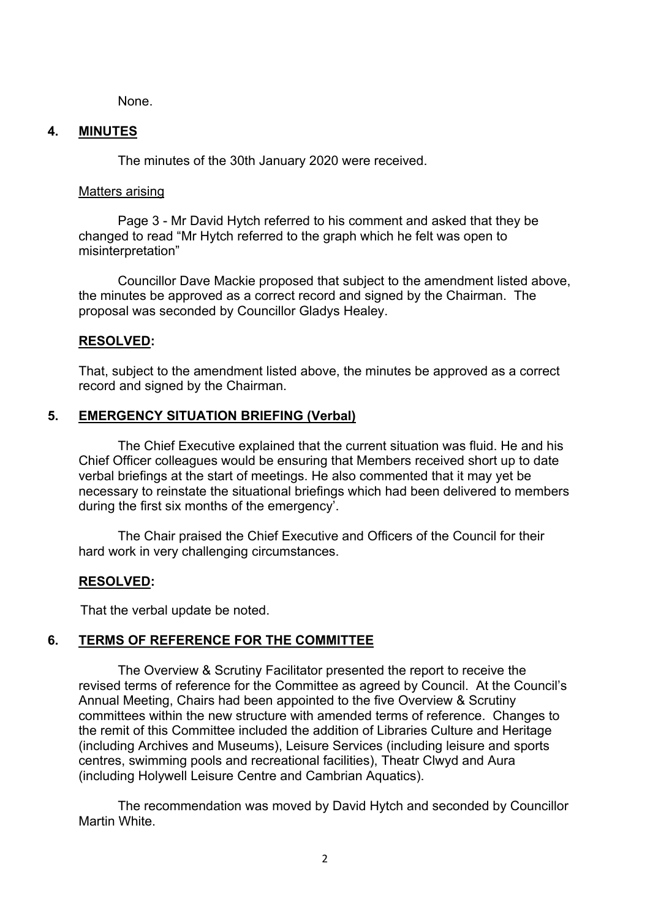None.

#### **4. MINUTES**

The minutes of the 30th January 2020 were received.

#### Matters arising

Page 3 - Mr David Hytch referred to his comment and asked that they be changed to read "Mr Hytch referred to the graph which he felt was open to misinterpretation"

Councillor Dave Mackie proposed that subject to the amendment listed above, the minutes be approved as a correct record and signed by the Chairman. The proposal was seconded by Councillor Gladys Healey.

## **RESOLVED:**

That, subject to the amendment listed above, the minutes be approved as a correct record and signed by the Chairman.

# **5. EMERGENCY SITUATION BRIEFING (Verbal)**

The Chief Executive explained that the current situation was fluid. He and his Chief Officer colleagues would be ensuring that Members received short up to date verbal briefings at the start of meetings. He also commented that it may yet be necessary to reinstate the situational briefings which had been delivered to members during the first six months of the emergency'.

The Chair praised the Chief Executive and Officers of the Council for their hard work in very challenging circumstances.

## **RESOLVED:**

That the verbal update be noted.

## **6. TERMS OF REFERENCE FOR THE COMMITTEE**

The Overview & Scrutiny Facilitator presented the report to receive the revised terms of reference for the Committee as agreed by Council. At the Council's Annual Meeting, Chairs had been appointed to the five Overview & Scrutiny committees within the new structure with amended terms of reference. Changes to the remit of this Committee included the addition of Libraries Culture and Heritage (including Archives and Museums), Leisure Services (including leisure and sports centres, swimming pools and recreational facilities), Theatr Clwyd and Aura (including Holywell Leisure Centre and Cambrian Aquatics).

The recommendation was moved by David Hytch and seconded by Councillor Martin White.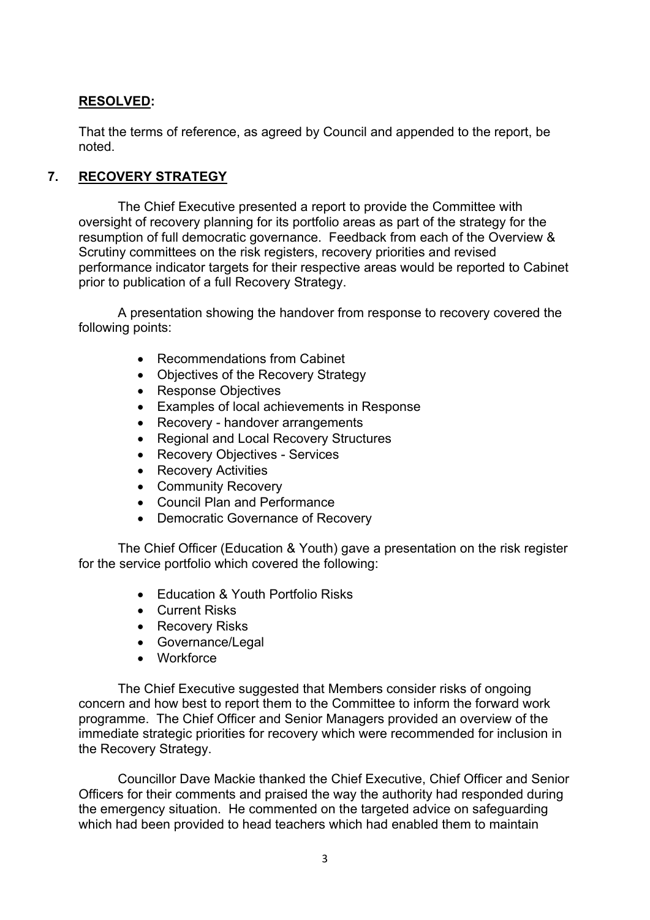#### **RESOLVED:**

That the terms of reference, as agreed by Council and appended to the report, be noted.

#### **7. RECOVERY STRATEGY**

The Chief Executive presented a report to provide the Committee with oversight of recovery planning for its portfolio areas as part of the strategy for the resumption of full democratic governance. Feedback from each of the Overview & Scrutiny committees on the risk registers, recovery priorities and revised performance indicator targets for their respective areas would be reported to Cabinet prior to publication of a full Recovery Strategy.

A presentation showing the handover from response to recovery covered the following points:

- Recommendations from Cabinet
- Objectives of the Recovery Strategy
- Response Objectives
- Examples of local achievements in Response
- Recovery handover arrangements
- Regional and Local Recovery Structures
- Recovery Objectives Services
- Recovery Activities
- Community Recovery
- Council Plan and Performance
- Democratic Governance of Recovery

The Chief Officer (Education & Youth) gave a presentation on the risk register for the service portfolio which covered the following:

- Fducation & Youth Portfolio Risks
- **•** Current Risks
- Recovery Risks
- Governance/Legal
- Workforce

The Chief Executive suggested that Members consider risks of ongoing concern and how best to report them to the Committee to inform the forward work programme. The Chief Officer and Senior Managers provided an overview of the immediate strategic priorities for recovery which were recommended for inclusion in the Recovery Strategy.

Councillor Dave Mackie thanked the Chief Executive, Chief Officer and Senior Officers for their comments and praised the way the authority had responded during the emergency situation. He commented on the targeted advice on safeguarding which had been provided to head teachers which had enabled them to maintain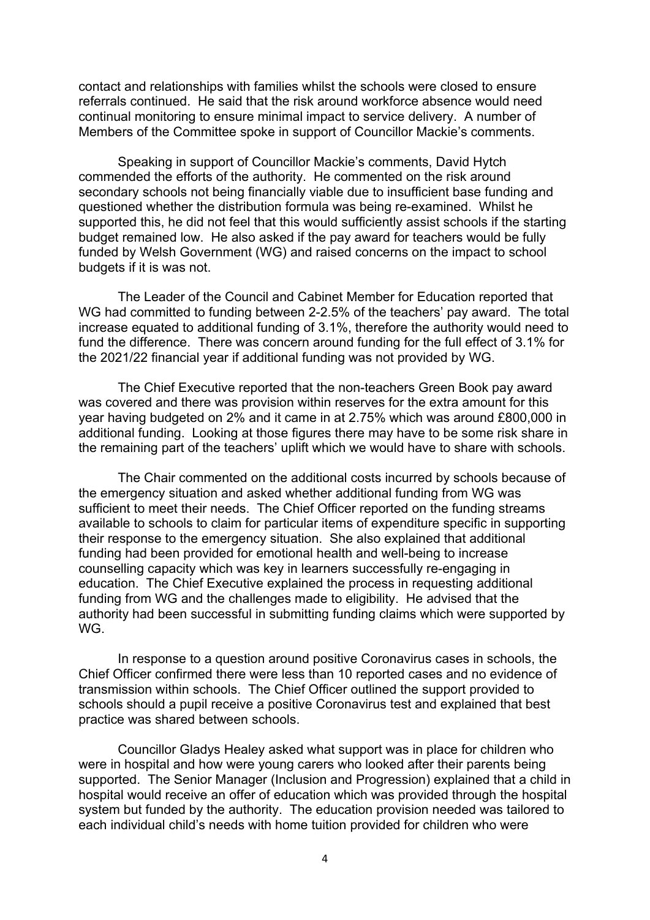contact and relationships with families whilst the schools were closed to ensure referrals continued. He said that the risk around workforce absence would need continual monitoring to ensure minimal impact to service delivery. A number of Members of the Committee spoke in support of Councillor Mackie's comments.

Speaking in support of Councillor Mackie's comments, David Hytch commended the efforts of the authority. He commented on the risk around secondary schools not being financially viable due to insufficient base funding and questioned whether the distribution formula was being re-examined. Whilst he supported this, he did not feel that this would sufficiently assist schools if the starting budget remained low. He also asked if the pay award for teachers would be fully funded by Welsh Government (WG) and raised concerns on the impact to school budgets if it is was not.

The Leader of the Council and Cabinet Member for Education reported that WG had committed to funding between 2-2.5% of the teachers' pay award. The total increase equated to additional funding of 3.1%, therefore the authority would need to fund the difference. There was concern around funding for the full effect of 3.1% for the 2021/22 financial year if additional funding was not provided by WG.

The Chief Executive reported that the non-teachers Green Book pay award was covered and there was provision within reserves for the extra amount for this year having budgeted on 2% and it came in at 2.75% which was around £800,000 in additional funding. Looking at those figures there may have to be some risk share in the remaining part of the teachers' uplift which we would have to share with schools.

The Chair commented on the additional costs incurred by schools because of the emergency situation and asked whether additional funding from WG was sufficient to meet their needs. The Chief Officer reported on the funding streams available to schools to claim for particular items of expenditure specific in supporting their response to the emergency situation. She also explained that additional funding had been provided for emotional health and well-being to increase counselling capacity which was key in learners successfully re-engaging in education. The Chief Executive explained the process in requesting additional funding from WG and the challenges made to eligibility. He advised that the authority had been successful in submitting funding claims which were supported by WG.

In response to a question around positive Coronavirus cases in schools, the Chief Officer confirmed there were less than 10 reported cases and no evidence of transmission within schools. The Chief Officer outlined the support provided to schools should a pupil receive a positive Coronavirus test and explained that best practice was shared between schools.

Councillor Gladys Healey asked what support was in place for children who were in hospital and how were young carers who looked after their parents being supported. The Senior Manager (Inclusion and Progression) explained that a child in hospital would receive an offer of education which was provided through the hospital system but funded by the authority. The education provision needed was tailored to each individual child's needs with home tuition provided for children who were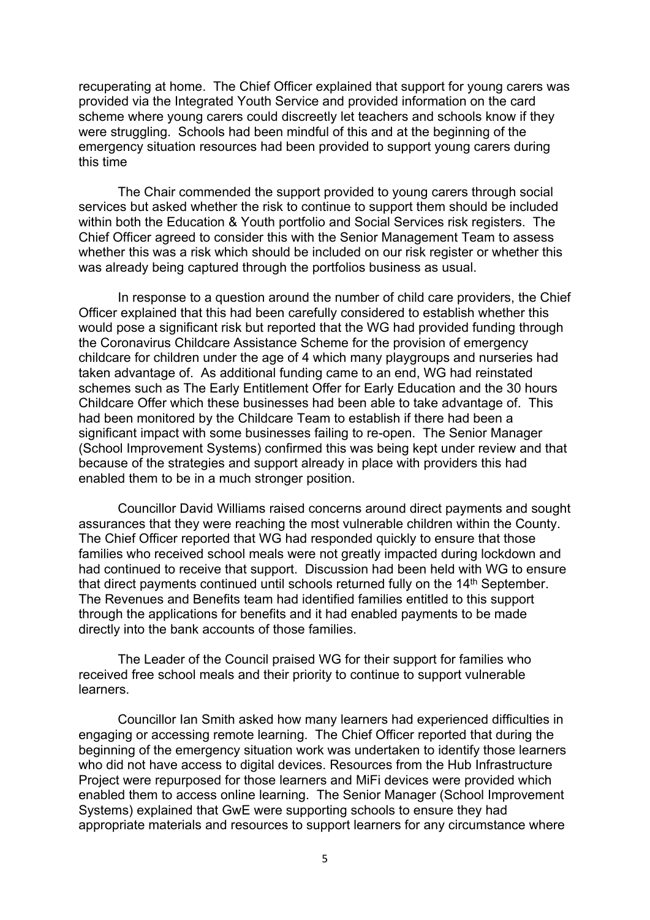recuperating at home. The Chief Officer explained that support for young carers was provided via the Integrated Youth Service and provided information on the card scheme where young carers could discreetly let teachers and schools know if they were struggling. Schools had been mindful of this and at the beginning of the emergency situation resources had been provided to support young carers during this time

The Chair commended the support provided to young carers through social services but asked whether the risk to continue to support them should be included within both the Education & Youth portfolio and Social Services risk registers. The Chief Officer agreed to consider this with the Senior Management Team to assess whether this was a risk which should be included on our risk register or whether this was already being captured through the portfolios business as usual.

In response to a question around the number of child care providers, the Chief Officer explained that this had been carefully considered to establish whether this would pose a significant risk but reported that the WG had provided funding through the Coronavirus Childcare Assistance Scheme for the provision of emergency childcare for children under the age of 4 which many playgroups and nurseries had taken advantage of. As additional funding came to an end, WG had reinstated schemes such as The Early Entitlement Offer for Early Education and the 30 hours Childcare Offer which these businesses had been able to take advantage of. This had been monitored by the Childcare Team to establish if there had been a significant impact with some businesses failing to re-open. The Senior Manager (School Improvement Systems) confirmed this was being kept under review and that because of the strategies and support already in place with providers this had enabled them to be in a much stronger position.

Councillor David Williams raised concerns around direct payments and sought assurances that they were reaching the most vulnerable children within the County. The Chief Officer reported that WG had responded quickly to ensure that those families who received school meals were not greatly impacted during lockdown and had continued to receive that support. Discussion had been held with WG to ensure that direct payments continued until schools returned fully on the 14<sup>th</sup> September. The Revenues and Benefits team had identified families entitled to this support through the applications for benefits and it had enabled payments to be made directly into the bank accounts of those families.

The Leader of the Council praised WG for their support for families who received free school meals and their priority to continue to support vulnerable learners.

Councillor Ian Smith asked how many learners had experienced difficulties in engaging or accessing remote learning. The Chief Officer reported that during the beginning of the emergency situation work was undertaken to identify those learners who did not have access to digital devices. Resources from the Hub Infrastructure Project were repurposed for those learners and MiFi devices were provided which enabled them to access online learning. The Senior Manager (School Improvement Systems) explained that GwE were supporting schools to ensure they had appropriate materials and resources to support learners for any circumstance where